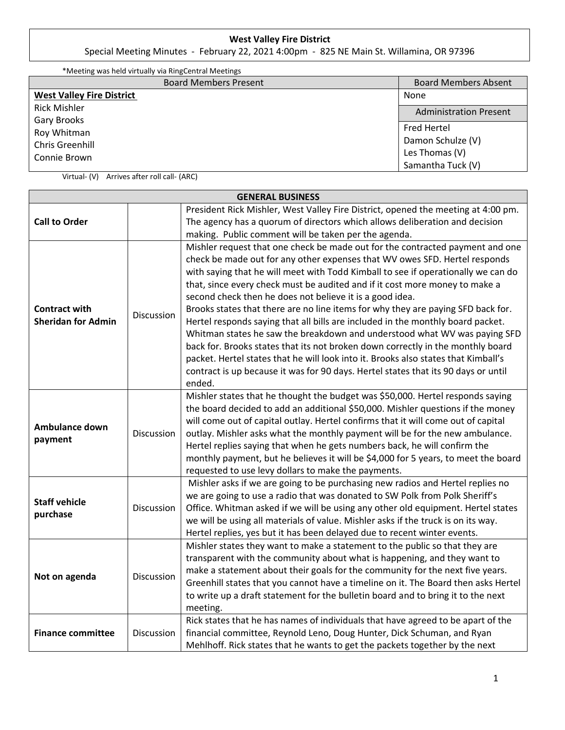## **West Valley Fire District**

Special Meeting Minutes - February 22, 2021 4:00pm - 825 NE Main St. Willamina, OR 97396

| *Meeting was held virtually via RingCentral Meetings |                               |  |
|------------------------------------------------------|-------------------------------|--|
| <b>Board Members Present</b>                         | <b>Board Members Absent</b>   |  |
| <b>West Valley Fire District</b>                     | None                          |  |
| <b>Rick Mishler</b>                                  | <b>Administration Present</b> |  |
| <b>Gary Brooks</b>                                   |                               |  |
| Roy Whitman                                          | <b>Fred Hertel</b>            |  |
| Chris Greenhill                                      | Damon Schulze (V)             |  |
| Connie Brown                                         | Les Thomas (V)                |  |
|                                                      | Samantha Tuck (V)             |  |

Virtual- (V) Arrives after roll call- (ARC)

| <b>GENERAL BUSINESS</b>                           |            |                                                                                                                                                                                                                                                                                                                                                                                                                                                                                                                                                                                                                                                                                                                                                                                                                                                                                                                          |  |  |  |
|---------------------------------------------------|------------|--------------------------------------------------------------------------------------------------------------------------------------------------------------------------------------------------------------------------------------------------------------------------------------------------------------------------------------------------------------------------------------------------------------------------------------------------------------------------------------------------------------------------------------------------------------------------------------------------------------------------------------------------------------------------------------------------------------------------------------------------------------------------------------------------------------------------------------------------------------------------------------------------------------------------|--|--|--|
| <b>Call to Order</b>                              |            | President Rick Mishler, West Valley Fire District, opened the meeting at 4:00 pm.<br>The agency has a quorum of directors which allows deliberation and decision<br>making. Public comment will be taken per the agenda.                                                                                                                                                                                                                                                                                                                                                                                                                                                                                                                                                                                                                                                                                                 |  |  |  |
| <b>Contract with</b><br><b>Sheridan for Admin</b> | Discussion | Mishler request that one check be made out for the contracted payment and one<br>check be made out for any other expenses that WV owes SFD. Hertel responds<br>with saying that he will meet with Todd Kimball to see if operationally we can do<br>that, since every check must be audited and if it cost more money to make a<br>second check then he does not believe it is a good idea.<br>Brooks states that there are no line items for why they are paying SFD back for.<br>Hertel responds saying that all bills are included in the monthly board packet.<br>Whitman states he saw the breakdown and understood what WV was paying SFD<br>back for. Brooks states that its not broken down correctly in the monthly board<br>packet. Hertel states that he will look into it. Brooks also states that Kimball's<br>contract is up because it was for 90 days. Hertel states that its 90 days or until<br>ended. |  |  |  |
| Ambulance down<br>payment                         | Discussion | Mishler states that he thought the budget was \$50,000. Hertel responds saying<br>the board decided to add an additional \$50,000. Mishler questions if the money<br>will come out of capital outlay. Hertel confirms that it will come out of capital<br>outlay. Mishler asks what the monthly payment will be for the new ambulance.<br>Hertel replies saying that when he gets numbers back, he will confirm the<br>monthly payment, but he believes it will be \$4,000 for 5 years, to meet the board<br>requested to use levy dollars to make the payments.                                                                                                                                                                                                                                                                                                                                                         |  |  |  |
| <b>Staff vehicle</b><br>purchase                  | Discussion | Mishler asks if we are going to be purchasing new radios and Hertel replies no<br>we are going to use a radio that was donated to SW Polk from Polk Sheriff's<br>Office. Whitman asked if we will be using any other old equipment. Hertel states<br>we will be using all materials of value. Mishler asks if the truck is on its way.<br>Hertel replies, yes but it has been delayed due to recent winter events.                                                                                                                                                                                                                                                                                                                                                                                                                                                                                                       |  |  |  |
| Not on agenda                                     | Discussion | Mishler states they want to make a statement to the public so that they are<br>transparent with the community about what is happening, and they want to<br>make a statement about their goals for the community for the next five years.<br>Greenhill states that you cannot have a timeline on it. The Board then asks Hertel<br>to write up a draft statement for the bulletin board and to bring it to the next<br>meeting.                                                                                                                                                                                                                                                                                                                                                                                                                                                                                           |  |  |  |
| <b>Finance committee</b>                          | Discussion | Rick states that he has names of individuals that have agreed to be apart of the<br>financial committee, Reynold Leno, Doug Hunter, Dick Schuman, and Ryan<br>Mehlhoff. Rick states that he wants to get the packets together by the next                                                                                                                                                                                                                                                                                                                                                                                                                                                                                                                                                                                                                                                                                |  |  |  |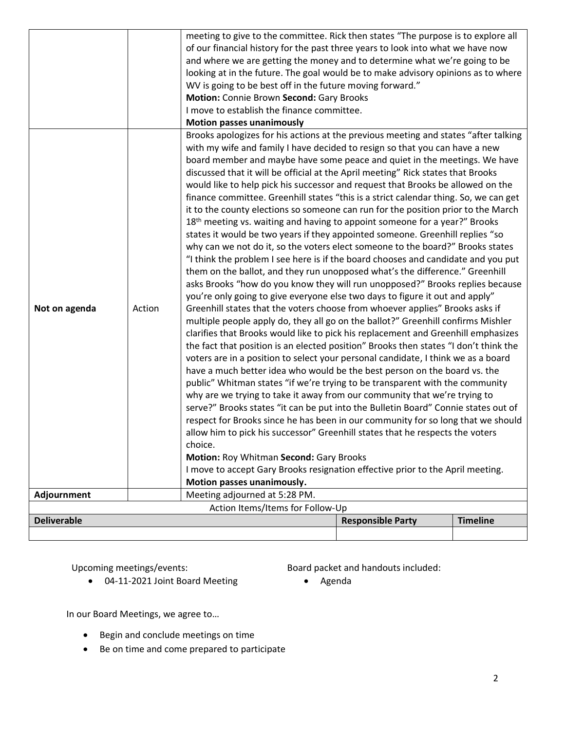|                                                                   |                                                                                                                                                                           | meeting to give to the committee. Rick then states "The purpose is to explore all                                                                                                                                                                     |  |  |  |  |
|-------------------------------------------------------------------|---------------------------------------------------------------------------------------------------------------------------------------------------------------------------|-------------------------------------------------------------------------------------------------------------------------------------------------------------------------------------------------------------------------------------------------------|--|--|--|--|
|                                                                   |                                                                                                                                                                           | of our financial history for the past three years to look into what we have now                                                                                                                                                                       |  |  |  |  |
|                                                                   |                                                                                                                                                                           | and where we are getting the money and to determine what we're going to be<br>looking at in the future. The goal would be to make advisory opinions as to where                                                                                       |  |  |  |  |
|                                                                   |                                                                                                                                                                           |                                                                                                                                                                                                                                                       |  |  |  |  |
|                                                                   |                                                                                                                                                                           | WV is going to be best off in the future moving forward."                                                                                                                                                                                             |  |  |  |  |
|                                                                   |                                                                                                                                                                           | Motion: Connie Brown Second: Gary Brooks                                                                                                                                                                                                              |  |  |  |  |
|                                                                   |                                                                                                                                                                           | I move to establish the finance committee.                                                                                                                                                                                                            |  |  |  |  |
|                                                                   |                                                                                                                                                                           | <b>Motion passes unanimously</b>                                                                                                                                                                                                                      |  |  |  |  |
|                                                                   |                                                                                                                                                                           | Brooks apologizes for his actions at the previous meeting and states "after talking                                                                                                                                                                   |  |  |  |  |
|                                                                   |                                                                                                                                                                           | with my wife and family I have decided to resign so that you can have a new                                                                                                                                                                           |  |  |  |  |
|                                                                   |                                                                                                                                                                           | board member and maybe have some peace and quiet in the meetings. We have                                                                                                                                                                             |  |  |  |  |
|                                                                   |                                                                                                                                                                           | discussed that it will be official at the April meeting" Rick states that Brooks                                                                                                                                                                      |  |  |  |  |
|                                                                   |                                                                                                                                                                           | would like to help pick his successor and request that Brooks be allowed on the                                                                                                                                                                       |  |  |  |  |
|                                                                   |                                                                                                                                                                           | finance committee. Greenhill states "this is a strict calendar thing. So, we can get                                                                                                                                                                  |  |  |  |  |
|                                                                   |                                                                                                                                                                           | it to the county elections so someone can run for the position prior to the March                                                                                                                                                                     |  |  |  |  |
|                                                                   |                                                                                                                                                                           | 18 <sup>th</sup> meeting vs. waiting and having to appoint someone for a year?" Brooks                                                                                                                                                                |  |  |  |  |
|                                                                   |                                                                                                                                                                           | states it would be two years if they appointed someone. Greenhill replies "so                                                                                                                                                                         |  |  |  |  |
|                                                                   |                                                                                                                                                                           | why can we not do it, so the voters elect someone to the board?" Brooks states                                                                                                                                                                        |  |  |  |  |
|                                                                   |                                                                                                                                                                           | "I think the problem I see here is if the board chooses and candidate and you put                                                                                                                                                                     |  |  |  |  |
|                                                                   |                                                                                                                                                                           | them on the ballot, and they run unopposed what's the difference." Greenhill                                                                                                                                                                          |  |  |  |  |
|                                                                   |                                                                                                                                                                           | asks Brooks "how do you know they will run unopposed?" Brooks replies because                                                                                                                                                                         |  |  |  |  |
|                                                                   |                                                                                                                                                                           | you're only going to give everyone else two days to figure it out and apply"                                                                                                                                                                          |  |  |  |  |
| Not on agenda                                                     | Action                                                                                                                                                                    | Greenhill states that the voters choose from whoever applies" Brooks asks if<br>multiple people apply do, they all go on the ballot?" Greenhill confirms Mishler<br>clarifies that Brooks would like to pick his replacement and Greenhill emphasizes |  |  |  |  |
|                                                                   |                                                                                                                                                                           |                                                                                                                                                                                                                                                       |  |  |  |  |
|                                                                   |                                                                                                                                                                           |                                                                                                                                                                                                                                                       |  |  |  |  |
|                                                                   | the fact that position is an elected position" Brooks then states "I don't think the<br>voters are in a position to select your personal candidate, I think we as a board |                                                                                                                                                                                                                                                       |  |  |  |  |
|                                                                   |                                                                                                                                                                           |                                                                                                                                                                                                                                                       |  |  |  |  |
|                                                                   |                                                                                                                                                                           | have a much better idea who would be the best person on the board vs. the<br>public" Whitman states "if we're trying to be transparent with the community<br>why are we trying to take it away from our community that we're trying to                |  |  |  |  |
|                                                                   |                                                                                                                                                                           |                                                                                                                                                                                                                                                       |  |  |  |  |
|                                                                   |                                                                                                                                                                           |                                                                                                                                                                                                                                                       |  |  |  |  |
|                                                                   |                                                                                                                                                                           | serve?" Brooks states "it can be put into the Bulletin Board" Connie states out of<br>respect for Brooks since he has been in our community for so long that we should                                                                                |  |  |  |  |
|                                                                   |                                                                                                                                                                           |                                                                                                                                                                                                                                                       |  |  |  |  |
|                                                                   |                                                                                                                                                                           | allow him to pick his successor" Greenhill states that he respects the voters<br>choice.                                                                                                                                                              |  |  |  |  |
|                                                                   |                                                                                                                                                                           |                                                                                                                                                                                                                                                       |  |  |  |  |
|                                                                   |                                                                                                                                                                           | Motion: Roy Whitman Second: Gary Brooks                                                                                                                                                                                                               |  |  |  |  |
|                                                                   |                                                                                                                                                                           | I move to accept Gary Brooks resignation effective prior to the April meeting.<br>Motion passes unanimously.                                                                                                                                          |  |  |  |  |
| Adjournment                                                       |                                                                                                                                                                           | Meeting adjourned at 5:28 PM.                                                                                                                                                                                                                         |  |  |  |  |
| Action Items/Items for Follow-Up                                  |                                                                                                                                                                           |                                                                                                                                                                                                                                                       |  |  |  |  |
| <b>Deliverable</b><br><b>Timeline</b><br><b>Responsible Party</b> |                                                                                                                                                                           |                                                                                                                                                                                                                                                       |  |  |  |  |
|                                                                   |                                                                                                                                                                           |                                                                                                                                                                                                                                                       |  |  |  |  |
|                                                                   |                                                                                                                                                                           |                                                                                                                                                                                                                                                       |  |  |  |  |

Upcoming meetings/events:

• 04-11-2021 Joint Board Meeting

Board packet and handouts included:

• Agenda

In our Board Meetings, we agree to…

- Begin and conclude meetings on time
- Be on time and come prepared to participate